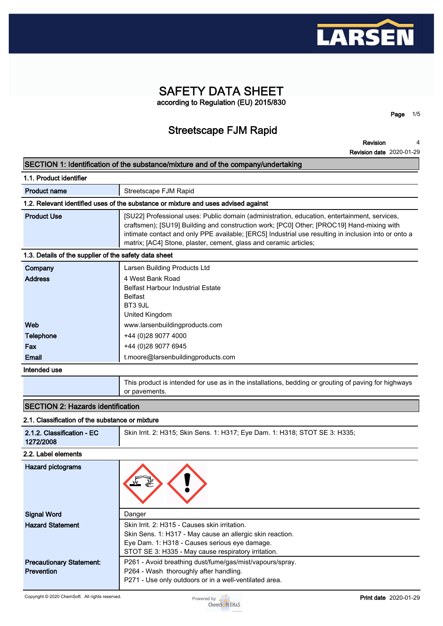

### **SAFETY DATA SHEET according to Regulation (EU) 2015/830**

**Page 1/5**

## **Streetscape FJM Rapid**

**Revision 4 2020-01-29**

|                                                       | <b>Revision date 2020-01-29</b>                                                                                                                                                                                                                                                                                                                                        |  |
|-------------------------------------------------------|------------------------------------------------------------------------------------------------------------------------------------------------------------------------------------------------------------------------------------------------------------------------------------------------------------------------------------------------------------------------|--|
|                                                       | SECTION 1: Identification of the substance/mixture and of the company/undertaking                                                                                                                                                                                                                                                                                      |  |
| 1.1. Product identifier                               |                                                                                                                                                                                                                                                                                                                                                                        |  |
| <b>Product name</b>                                   | Streetscape FJM Rapid                                                                                                                                                                                                                                                                                                                                                  |  |
|                                                       | 1.2. Relevant identified uses of the substance or mixture and uses advised against                                                                                                                                                                                                                                                                                     |  |
| <b>Product Use</b>                                    | [SU22] Professional uses: Public domain (administration, education, entertainment, services,<br>craftsmen); [SU19] Building and construction work; [PC0] Other; [PROC19] Hand-mixing with<br>intimate contact and only PPE available; [ERC5] Industrial use resulting in inclusion into or onto a<br>matrix; [AC4] Stone, plaster, cement, glass and ceramic articles; |  |
| 1.3. Details of the supplier of the safety data sheet |                                                                                                                                                                                                                                                                                                                                                                        |  |
| Company                                               | Larsen Building Products Ltd                                                                                                                                                                                                                                                                                                                                           |  |
| <b>Address</b>                                        | 4 West Bank Road<br><b>Belfast Harbour Industrial Estate</b><br><b>Belfast</b><br>BT3 9JL<br>United Kingdom                                                                                                                                                                                                                                                            |  |
| Web                                                   | www.larsenbuildingproducts.com                                                                                                                                                                                                                                                                                                                                         |  |
| Telephone                                             | +44 (0)28 9077 4000                                                                                                                                                                                                                                                                                                                                                    |  |
| Fax                                                   | +44 (0)28 9077 6945                                                                                                                                                                                                                                                                                                                                                    |  |
| Email                                                 | t.moore@larsenbuildingproducts.com                                                                                                                                                                                                                                                                                                                                     |  |
| Intended use                                          |                                                                                                                                                                                                                                                                                                                                                                        |  |
|                                                       | This product is intended for use as in the installations, bedding or grouting of paving for highways<br>or pavements.                                                                                                                                                                                                                                                  |  |
| <b>SECTION 2: Hazards identification</b>              |                                                                                                                                                                                                                                                                                                                                                                        |  |
| 2.1. Classification of the substance or mixture       |                                                                                                                                                                                                                                                                                                                                                                        |  |
| 2.1.2. Classification - EC<br>1272/2008               | Skin Irrit. 2: H315; Skin Sens. 1: H317; Eye Dam. 1: H318; STOT SE 3: H335;                                                                                                                                                                                                                                                                                            |  |
| 2.2. Label elements                                   |                                                                                                                                                                                                                                                                                                                                                                        |  |
| Hazard pictograms                                     | €                                                                                                                                                                                                                                                                                                                                                                      |  |
| <b>Signal Word</b>                                    | Danger                                                                                                                                                                                                                                                                                                                                                                 |  |
| <b>Hazard Statement</b>                               | Skin Irrit. 2: H315 - Causes skin irritation.<br>Skin Sens. 1: H317 - May cause an allergic skin reaction.<br>Eye Dam. 1: H318 - Causes serious eye damage.<br>STOT SE 3: H335 - May cause respiratory irritation.                                                                                                                                                     |  |
| <b>Precautionary Statement:</b><br>Prevention         | P261 - Avoid breathing dust/fume/gas/mist/vapours/spray.<br>P264 - Wash thoroughly after handling.<br>P271 - Use only outdoors or in a well-ventilated area.                                                                                                                                                                                                           |  |

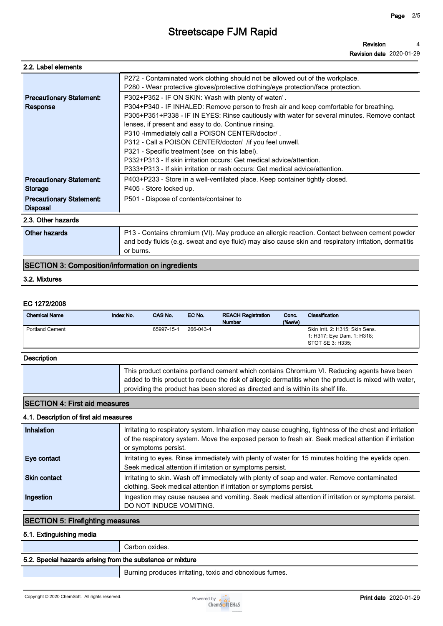## **Streetscape FJM Rapid**

| 2.2. Label elements                                |                                                                                                                                                                                                                                                                                                                                                                                                                                                                                                                                                                                                                                  |
|----------------------------------------------------|----------------------------------------------------------------------------------------------------------------------------------------------------------------------------------------------------------------------------------------------------------------------------------------------------------------------------------------------------------------------------------------------------------------------------------------------------------------------------------------------------------------------------------------------------------------------------------------------------------------------------------|
|                                                    | P272 - Contaminated work clothing should not be allowed out of the workplace.<br>P280 - Wear protective gloves/protective clothing/eye protection/face protection.                                                                                                                                                                                                                                                                                                                                                                                                                                                               |
| <b>Precautionary Statement:</b><br>Response        | P302+P352 - IF ON SKIN: Wash with plenty of water/.<br>P304+P340 - IF INHALED: Remove person to fresh air and keep comfortable for breathing.<br>P305+P351+P338 - IF IN EYES: Rinse cautiously with water for several minutes. Remove contact<br>lenses, if present and easy to do. Continue rinsing.<br>P310 - Immediately call a POISON CENTER/doctor/.<br>P312 - Call a POISON CENTER/doctor/ / if you feel unwell.<br>P321 - Specific treatment (see on this label).<br>P332+P313 - If skin irritation occurs: Get medical advice/attention.<br>P333+P313 - If skin irritation or rash occurs: Get medical advice/attention. |
| <b>Precautionary Statement:</b><br>Storage         | P403+P233 - Store in a well-ventilated place. Keep container tightly closed.<br>P405 - Store locked up.                                                                                                                                                                                                                                                                                                                                                                                                                                                                                                                          |
| <b>Precautionary Statement:</b><br><b>Disposal</b> | P501 - Dispose of contents/container to                                                                                                                                                                                                                                                                                                                                                                                                                                                                                                                                                                                          |
| 2.3. Other hazards                                 |                                                                                                                                                                                                                                                                                                                                                                                                                                                                                                                                                                                                                                  |
| <b>Other hazards</b>                               | P13 - Contains chromium (VI). May produce an allergic reaction. Contact between cement powder<br>and body fluids (e.g. sweat and eye fluid) may also cause skin and respiratory irritation, dermatitis                                                                                                                                                                                                                                                                                                                                                                                                                           |

**or burns.**

#### **3.2. Mixtures**

#### **EC 1272/2008**

| <b>Chemical Name</b>   | Index No. | CAS No.    | EC No.    | <b>REACH Registration</b><br><b>Number</b> | Conc.<br>$($ %w/w $)$ | Classification                                                                    |
|------------------------|-----------|------------|-----------|--------------------------------------------|-----------------------|-----------------------------------------------------------------------------------|
| <b>Portland Cement</b> |           | 65997-15-1 | 266-043-4 |                                            |                       | Skin Irrit. 2: H315; Skin Sens.<br>1: H317; Eye Dam. 1: H318;<br>STOT SE 3: H335; |
| - -                    |           |            |           |                                            |                       |                                                                                   |

#### **Description**

| This product contains portland cement which contains Chromium VI. Reducing agents have been           |
|-------------------------------------------------------------------------------------------------------|
| added to this product to reduce the risk of allergic dermatitis when the product is mixed with water, |
| providing the product has been stored as directed and is within its shelf life.                       |

#### **SECTION 4: First aid measures**

#### **4.1. Description of first aid measures**

| <b>Inhalation</b>   | Irritating to respiratory system. Inhalation may cause coughing, tightness of the chest and irritation<br>of the respiratory system. Move the exposed person to fresh air. Seek medical attention if irritation<br>or symptoms persist. |
|---------------------|-----------------------------------------------------------------------------------------------------------------------------------------------------------------------------------------------------------------------------------------|
| Eye contact         | Irritating to eyes. Rinse immediately with plenty of water for 15 minutes holding the eyelids open.<br>Seek medical attention if irritation or symptoms persist.                                                                        |
| <b>Skin contact</b> | Irritating to skin. Wash off immediately with plenty of soap and water. Remove contaminated<br>clothing. Seek medical attention if irritation or symptoms persist.                                                                      |
| Ingestion           | Ingestion may cause nausea and vomiting. Seek medical attention if irritation or symptoms persist.<br>DO NOT INDUCE VOMITING.                                                                                                           |

### **SECTION 5: Firefighting measures**

#### **5.1. Extinguishing media**

**Carbon oxides.**

### **5.2. Special hazards arising from the substance or mixture**

**Burning produces irritating, toxic and obnoxious fumes.**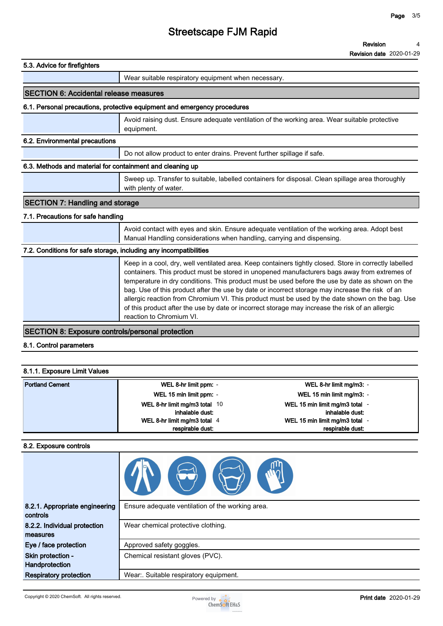## **Streetscape FJM Rapid**

#### **5.3. Advice for firefighters**

#### **Wear suitable respiratory equipment when necessary.**

#### **SECTION 6: Accidental release measures**

#### **6.1. Personal precautions, protective equipment and emergency procedures**

**Avoid raising dust. Ensure adequate ventilation of the working area. Wear suitable protective equipment.**

#### **6.2. Environmental precautions**

**Do not allow product to enter drains. Prevent further spillage if safe.**

#### **6.3. Methods and material for containment and cleaning up**

**Sweep up. Transfer to suitable, labelled containers for disposal. Clean spillage area thoroughly with plenty of water.**

#### **SECTION 7: Handling and storage**

#### **7.1. Precautions for safe handling**

**Avoid contact with eyes and skin. Ensure adequate ventilation of the working area. Adopt best Manual Handling considerations when handling, carrying and dispensing.**

#### **7.2. Conditions for safe storage, including any incompatibilities**

| Keep in a cool, dry, well ventilated area. Keep containers tightly closed. Store in correctly labelled |
|--------------------------------------------------------------------------------------------------------|
| containers. This product must be stored in unopened manufacturers bags away from extremes of           |
| temperature in dry conditions. This product must be used before the use by date as shown on the        |
| bag. Use of this product after the use by date or incorrect storage may increase the risk of an        |
| allergic reaction from Chromium VI. This product must be used by the date shown on the bag. Use        |
| of this product after the use by date or incorrect storage may increase the risk of an allergic        |
| reaction to Chromium VI.                                                                               |
|                                                                                                        |

#### **SECTION 8: Exposure controls/personal protection**

#### **8.1. Control parameters**

#### **8.1.1. Exposure Limit Values**

| <b>Portland Cement</b> | WEL 8-hr limit ppm: -         | WEL 8-hr limit mg/m3: -      |
|------------------------|-------------------------------|------------------------------|
|                        | WEL 15 min limit ppm: -       | WEL 15 min limit mg/m3: -    |
|                        | WEL 8-hr limit mg/m3 total 10 | WEL 15 min limit mg/m3 total |
|                        | inhalable dust:               | inhalable dust:              |
|                        | WEL 8-hr limit mg/m3 total 4  | WEL 15 min limit mg/m3 total |
|                        | respirable dust:              | respirable dust:             |

#### **8.2. Exposure controls**

| 8.2.1. Appropriate engineering<br>controls | Ensure adequate ventilation of the working area. |
|--------------------------------------------|--------------------------------------------------|
| 8.2.2. Individual protection<br>measures   | Wear chemical protective clothing.               |
| Eye / face protection                      | Approved safety goggles.                         |
| Skin protection -<br>Handprotection        | Chemical resistant gloves (PVC).                 |
| <b>Respiratory protection</b>              | Wear:. Suitable respiratory equipment.           |

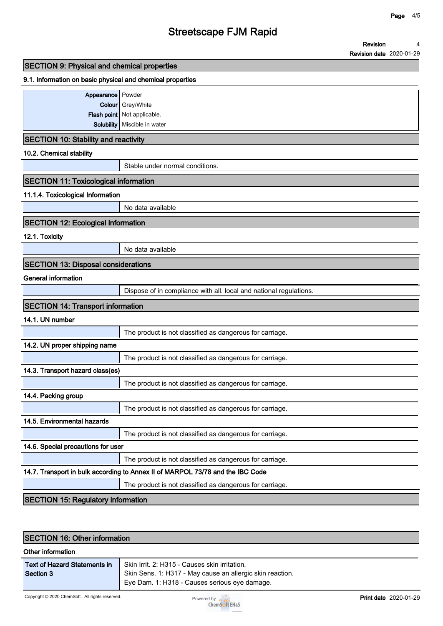#### **Revision 4**

**Revision date 2020-01-29**

| <b>SECTION 9: Physical and chemical properties</b>         |                                                                                       |
|------------------------------------------------------------|---------------------------------------------------------------------------------------|
| 9.1. Information on basic physical and chemical properties |                                                                                       |
| Appearance<br>Colour                                       | Powder<br>Grey/White<br>Flash point Not applicable.<br>Solubility   Miscible in water |
| <b>SECTION 10: Stability and reactivity</b>                |                                                                                       |
| 10.2. Chemical stability                                   |                                                                                       |
|                                                            | Stable under normal conditions.                                                       |
| <b>SECTION 11: Toxicological information</b>               |                                                                                       |
| 11.1.4. Toxicological Information                          |                                                                                       |
|                                                            | No data available                                                                     |
| <b>SECTION 12: Ecological information</b>                  |                                                                                       |
| 12.1. Toxicity                                             |                                                                                       |
|                                                            | No data available                                                                     |
| <b>SECTION 13: Disposal considerations</b>                 |                                                                                       |
| <b>General information</b>                                 |                                                                                       |
|                                                            | Dispose of in compliance with all. local and national regulations.                    |
| <b>SECTION 14: Transport information</b>                   |                                                                                       |
| 14.1. UN number                                            |                                                                                       |
|                                                            | The product is not classified as dangerous for carriage.                              |
| 14.2. UN proper shipping name                              |                                                                                       |
| 14.3. Transport hazard class(es)                           | The product is not classified as dangerous for carriage.                              |
|                                                            | The product is not classified as dangerous for carriage.                              |
| 14.4. Packing group                                        |                                                                                       |
|                                                            | The product is not classified as dangerous for carriage.                              |
| 14.5. Environmental hazards                                |                                                                                       |
|                                                            | The product is not classified as dangerous for carriage.                              |
| 14.6. Special precautions for user                         |                                                                                       |
|                                                            | The product is not classified as dangerous for carriage.                              |
|                                                            | 14.7. Transport in bulk according to Annex II of MARPOL 73/78 and the IBC Code        |
|                                                            | The product is not classified as dangerous for carriage.                              |
| <b>SECTION 15: Regulatory information</b>                  |                                                                                       |

| <b>ISECTION 16: Other information</b>     |                                                                                                                                                             |  |
|-------------------------------------------|-------------------------------------------------------------------------------------------------------------------------------------------------------------|--|
| Other information                         |                                                                                                                                                             |  |
| Text of Hazard Statements in<br>Section 3 | Skin Irrit. 2: H315 - Causes skin irritation.<br>Skin Sens. 1: H317 - May cause an allergic skin reaction.<br>Eye Dam. 1: H318 - Causes serious eye damage. |  |